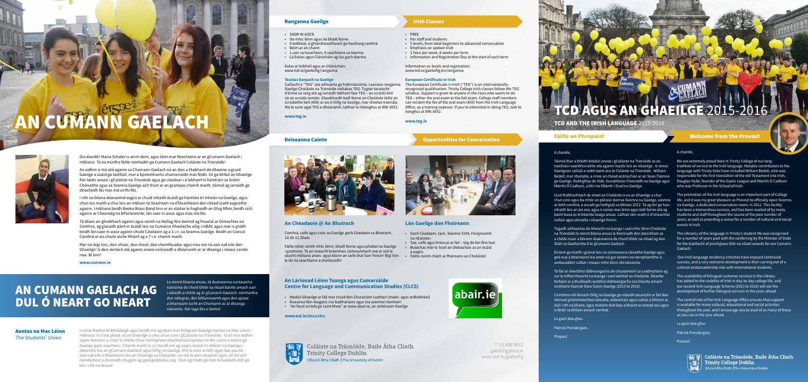#### A chairde,

Táimid thar a bheith bródúil anseo i gColáiste na Tríonóide as an traidisiún seanbhunaithe atá againn maidir leis an nGaeilge. Is iomaí Gaeilgeoir cáiliúil a raibh baint acu le Coláiste na Tríonóide. William Bedell, mar shampla, a rinne an chéad aistriúchán ar an Sean-Tiomna go Gaeilge, Dubhghlas de hÍde, bunaitheoir Chonradh na Gaeilge agus Douglas Hyde, founder of the Gaelic League and Máirtín Ó Cadhain Máirtín Ó Cadhain, a bhí ina Ollamh i Scoil na Gaeilge.

Cuid thábhachtach de shaol an Choláiste is ea an Ghaeilge a chur chun cinn agus ba mhór an pléisiúr domsa Seomra na Gaeilge, seomra ar leith comhrá, a oscailt go hoifigiúil sa bhliain 2012. Tá ag éirí go hanmhaith leis an áis seo, agus is iomaí mac léinn agus ball foirne atá ag baint leasa as le bliainta beaga anuas. Láthair den scoth é d'imeachtaí cultúir agus sóisialta i nGaeilge freisin.

Tugadh aitheantas do bheocht na teanga i saol mhic léinn Choláiste na Tríonóide le roinnt bliana anuas le bronnadh don dara bliain as a chéile nuair a bhronn duaiseanna de chuid Ghlór na nGael ag Aire Stáit na Gaeltachta d'ár gCumann Gaelach.

Éiríonn go maith i gcónaí leis na scéimeanna cónaithe Gaeilge agus gné nua a bhaineann leo anois ná gur ionann na rannpháirtithe is ambasadóirí cultúir i measc mhic léinn idirnáisiúnta.

Tá fáil ar sheirbhísí dátheangacha do chustaiméirí sa Leabharlann ag cur le infheictheacht na teanga i saol laethúil an choláiste. Déanfar forbairt ar a thuilleadh seirbhísí dátheangacha sna blianta amach romhainn faoinár Dara Scéim Gaeilge (2013 to 2016).

We are extremely proud here in Trinity College of our long tradition of service to the Irish language. Notable contributors to the language with Trinity links have included William Bedell, who was responsible for the first translation of the old Testament into Irish. who was Professor in the School of Irish.

Cinntíonn ról lárnach Oifig na Gaeilge go mbeidh tacaíocht ar fáil don iliomad gníomhaíochtaí sóisialta, oideachais agus cultúir a bhíonn ar siúl i rith na bliana, agus molaim duit leas a bhaint as oiread acu agus is féidir sa bhliain amach romhat.

Le gach dea-ghuí.

Patrick Prendergast,

Propast

# AN CUMANN GAELACH



Dia daoibh! Maria Schäler is ainm dom, agus táim mar Reachtaire ar an gCumann Gaelach i mbliana. Tá na múrtha fáilte romhaibh go Cumann Gaelach Coláiste na Tríonóide!

An aidhm is mó atá againn sa Chumann Gaelach ná an deis a thabhairt do dhaoine a gcuid Gaeilge a úsáid go laethúil, mar a bpríomhuirlis chumarsáide más féidir. Cé go bhfuil an Ghaeilge fíor-láidir anseo i gColáiste na Tríonóide agus go cloistear í á labhairt ní hámháin sa Scéim Chónaithe agus sa Seomra Gaeilge ach thart ar an gcampas chomh maith, táimid ag iarraidh go dtiocfaidh fás níos mó uirthi fós.

I rith na bliana déanaimid eagrú ar chuid mhaith ócáidí go hiomlán trí mheán na Gaeilge, agus chun tús maith a chur leis an mbliain tá Seachtain na dTósaitheoirí den chéad scoth eagraithe againn. I mbliana beidh Booka Brass Band linn ar an stáitse le haghaidh an Ghig Mhór, beidh céilí againn ar Chearnóg na bParlaiminte, lón saor in aisce agus níos mó fós.

Tá bliain an-ghnóthach againn agus roimh na Nollag féin beimid ag freastal ar Oireachtas na Samhna, ag glacadh páirt in ócáidí leis na Cumainn Ghaelacha uilig i mBÁC agus mar is gnáth beidh lón saor in aisce againn chuile Céadaoin ag a 1 i.n. sa Seomra Gaeilge. Beidh an Ciorcal Comhrá ar ais chuile oíche Mháirt ag a 7 i.n. chomh maith.

Mar sin bígí linn, don chraic, don cheol, don chomhluadar agus níos mó ná aon rud eile don Ghaeilge! Is deis iontach atá againn anseo ceiliúradh a dhéanamh ar ár dteanga i measc cairde nua. Bí linn!

**www.cumann.ie**

A chairde,

The promotion of the Irish language is an important part of College life, and it was my great pleasure as Provost to officially open Seomra na Gaeilge, a dedicated conversation room, in 2012. This facility has been a tremendous success, and has been availed of by many students and staff throughout the course of the past number of years, as well as providing a venue for a number of cultural and social events in Irish.

The vibrancy of the language in Trinity's student life was recognised for a number of years past with the conferring by the Minister of State for the Gaeltacht of prestigious Glór na nGael awards for our Cumann Gaelach.

 Our Irish language residency schemes have enjoyed continued success, and a very welcome development is their carving out of a cultural ambassadorship role with international students.

The availability of bilingual customer services in the Library has added to the visibility of Irish in day-to-day college life, and our second Irish Language Scheme (2013 to 2016) will see the development of further bilingual services in the years ahead.

The central role of the Irish Language Office ensures that support is available for many cultural, educational and social activities throughout the year, and I encourage you to avail of as many of these as you can in the year ahead.

Le gach dea-ghuí.

Patrick Prendergast,

Provost



द्धाला Coláiste na Tríonóide, Baile Átha Cliath **Trinity College Dublin** Ollscoil Átha Cliath | The University of Dublin

T: 01 896 3652 gaeloifig@tcd.ie www.tcd.ie/gaeloifig

## AGUS AN GHAEILGE 2015-20

TCD AND THE IRISH LANGUAGE 2015-2016

#### **Fáilte an Phropaist** Welcome from the Provost

- SAOR IN AISCE
- Do mhic léinn agus do bhaill foirne
- 5 leibhéal, ó ghlanthosaitheoirí go hardrang comhrá
- Béim ar an chaint
- 1 uair sa tseachtain, 8 seachtaine sa téarma
- Lá Eolais agus Clárúcháin ag tús gach téarma

Eolas ar leibhéil agus ar chlárúchán: www.tcd.ie/gaeloifig/ranganna

#### **Teastas Eorpach na Gaeilge**

**www.teg.ie**



## • FREE

• For staff and students

- 5 levels, from total beginners to advanced conversation
- Emphasis on spoken Irish
- 1 hour per week, 8 weeks per term
- Information and Registration Day at the start of each term

Caílíocht é "TEG" atá aitheanta go hidirnáisiúnta. Leanann ranganna Gaeilge Choláiste na Tríonóide siollabas TEG. Tugtar tacaíocht d'éinne sa rang atá ag iarraidh tabhairt faoi TEG – an scrúdú béil nó an scrúdú iomlán. Gheobhaidh baill foirne an Choláiste táille an scrúdaithe béil (€50) ar ais ó Oifig na Gaeilge, mar chostas traenála. Má tá suim agat TEG a dhéanamh, labhair le hAonghus ar 896-3652. The European Certificate in Irish ("TEG") is an internationallyrecognised qualification. Trinity College Irish classes follow the TEG syllabus. Support is given to anyone in the class who wants to do TEG – either the oral exam or the full exam. College staff members can reclaim the fee of the oral exam (€50) from the Irish Language Office, as a training expense. If you're interested in doing TEG, talk to Aonghus at 896-3652.

Information on levels and registration: www.tcd.ie/gaeloifig/en/ranganna

#### **European Certificate in Irish**

#### **www.teg.ie**

## Deiseanna Cainte **Opportunities for Conversation**



#### **An Chéadaoin @ An Bhutrach**

Comhrá, caife agus craic as Gaeilge gach Céadaoin sa Bhutrach, 10.30-11.30am.

Fáilte mhór roimh mhic léinn, bhaill foirne agus phobal na Gaeilge i gcoitinne. Tá an imeacht bríomhair, taitneamhach seo ar siúl le seacht mbliana anois- agus bíonn an caife thar barr freisin! Bígí linn le lár na seachtaine a cheiliúradh!

#### **Lón Gaeilge don Fhoireann**

- Gach Céadaoin, 1pm, Seomra 3104, Foirgneamh na nEalaíon.
- Tae, caife agus brioscaí ar fáil tóg do lón féin leat. • Buíochas mór le Scoil an Oideachais as an ócáid a eagrú.
- Fáilte roimh chách ar fhoireann an Choláiste!



## AN CUMANN GAELACH AG DUL Ó NEART GO NEART

Le roinnt blianta anuas, tá duaiseanna suntasacha náisiúnta de chuid Ghlór na nGael bainte amach uair i ndiaidh a chéile ag ár gCumann Gaelach- comhartha den ndíogras, den bhfuinneamh agus den spraoi a bhaineann lucht an Chumainn as ár dteanga náisiúnta. Nár laga Dia a lámha!

#### **An Lárionad Léinn Teanga agus Cumarsáide Centre for Language and Communication Studies (CLCS)**

- Modúil Ghaeilge ar fáil mar chuid den Churaclam Leathan (meán- agus ardleibhéal)
- Áiseanna féin-teagaisc ina leabharlann agus ina seomraí ríomhairí
- "An focal scríofa go caint bheo" ar www.abair.ie, an sintéiseoir Gaeilge

**www.tcd.ie/slscs/clcs**



Coláiste na Tríonóide, Baile Átha Cliath **Trinity College Dublin** Ollscoil Átha Cliath | The University of Dublin

#### Aontas na Mac Léinn The Students' Union

Is mise Rachel Ní Bhrádaigh agus beidh mé ag obair mar Oifigeach Gaeilge Aontas na Mac Léinn i mbliana. Is é mo phost ná an Ghaeilge a chur chun cinn i gColáiste na Tríonóide. Tá sé mar aidhm agam foireann a chuir le chéile chun ríomhphost seachtainiúil Aontas na Mic Léinn a aistriú go Gaeilge gach seachtain. Chomh maith le sin beidh mé ag eagrú ócáidí trí mheán na Gaeilge i dteannta leis an gCumann Gaelach agus Oifig na Gaeilge. Má tá ceist ar bith agat faoi seo nó áon rud eile a bhaineann leis an Ghaeilge sa Choláiste, no má tá aon smaointí agat, níl ort ach ríomhphost a sheoladh chugam ag gaeilge@tcdsu.org. Táim ag tnúth go mór le bualadh libh go léir i rith na bliana!

#### **Ranganna Gaeilge Irish Classes**